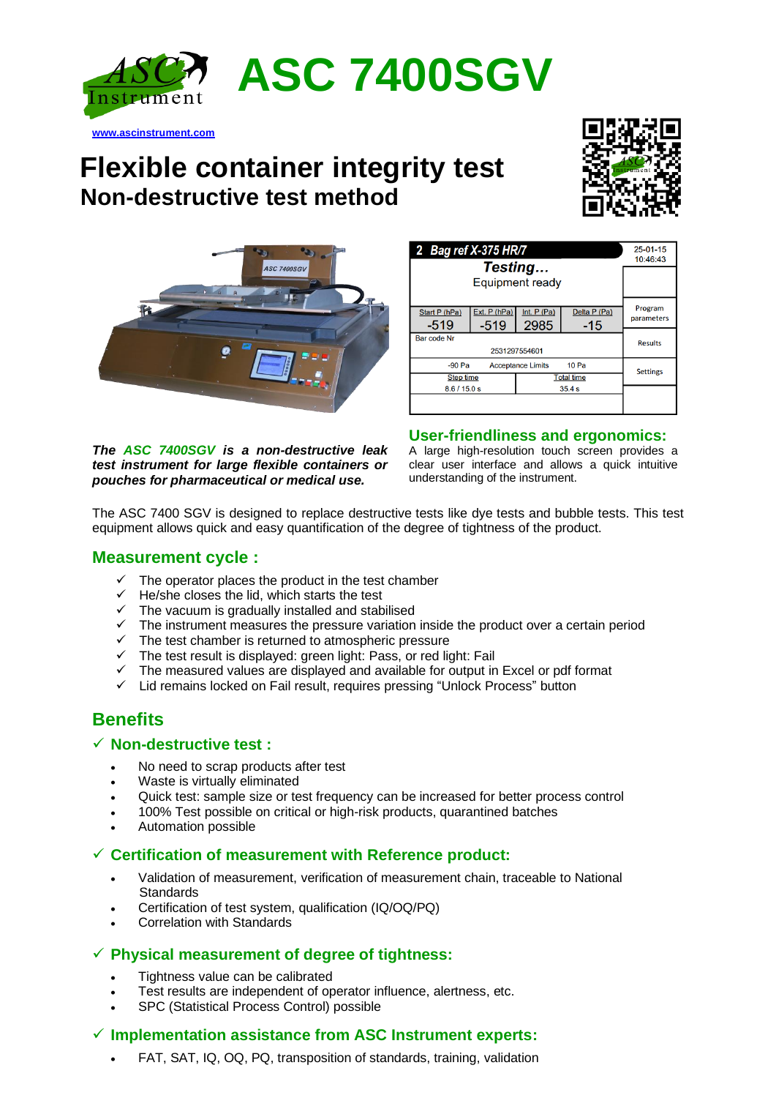

# **Flexible container integrity test Non-destructive test method**





*The ASC 7400SGV is a non-destructive leak test instrument for large flexible containers or pouches for pharmaceutical or medical use.*

| 2 Bag ref X-375 HR/7<br>Testing                          |                        |                      |                       | $25 - 01 - 15$<br>10:46:43 |
|----------------------------------------------------------|------------------------|----------------------|-----------------------|----------------------------|
| Equipment ready                                          |                        |                      |                       |                            |
| Start P (hPa)<br>-519                                    | Ext. P (hPa)<br>$-519$ | Int. $P(Pa)$<br>2985 | Delta P (Pa)<br>$-15$ | Program<br>parameters      |
| Bar code Nr<br>2531297554601                             |                        |                      |                       | <b>Results</b>             |
| 10 <sub>Pa</sub><br>$-90$ Pa<br><b>Acceptance Limits</b> |                        |                      | <b>Settings</b>       |                            |
| <b>Step time</b>                                         |                        | <b>Total time</b>    |                       |                            |
| 8.6/15.0 s                                               |                        | 35.4s                |                       |                            |
|                                                          |                        |                      |                       |                            |

#### **User-friendliness and ergonomics:**

A large high-resolution touch screen provides a clear user interface and allows a quick intuitive understanding of the instrument.

The ASC 7400 SGV is designed to replace destructive tests like dye tests and bubble tests. This test equipment allows quick and easy quantification of the degree of tightness of the product.

#### **Measurement cycle :**

**[www.ascinstrument.com](http://www.ascinstrument.com/)**

- $\checkmark$  The operator places the product in the test chamber
- $\checkmark$  He/she closes the lid, which starts the test
- $\checkmark$  The vacuum is gradually installed and stabilised
- $\checkmark$  The instrument measures the pressure variation inside the product over a certain period
- ✓ The test chamber is returned to atmospheric pressure
- ✓ The test result is displayed: green light: Pass, or red light: Fail
- ✓ The measured values are displayed and available for output in Excel or pdf format
- ✓ Lid remains locked on Fail result, requires pressing "Unlock Process" button

### **Benefits**

#### ✓ **Non-destructive test :**

- No need to scrap products after test
- Waste is virtually eliminated
- Quick test: sample size or test frequency can be increased for better process control
- 100% Test possible on critical or high-risk products, quarantined batches
- Automation possible

#### ✓ **Certification of measurement with Reference product:**

- Validation of measurement, verification of measurement chain, traceable to National **Standards**
- Certification of test system, qualification (IQ/OQ/PQ)
- Correlation with Standards

#### ✓ **Physical measurement of degree of tightness:**

- Tightness value can be calibrated
- Test results are independent of operator influence, alertness, etc.
- SPC (Statistical Process Control) possible

#### ✓ **Implementation assistance from ASC Instrument experts:**

• FAT, SAT, IQ, OQ, PQ, transposition of standards, training, validation